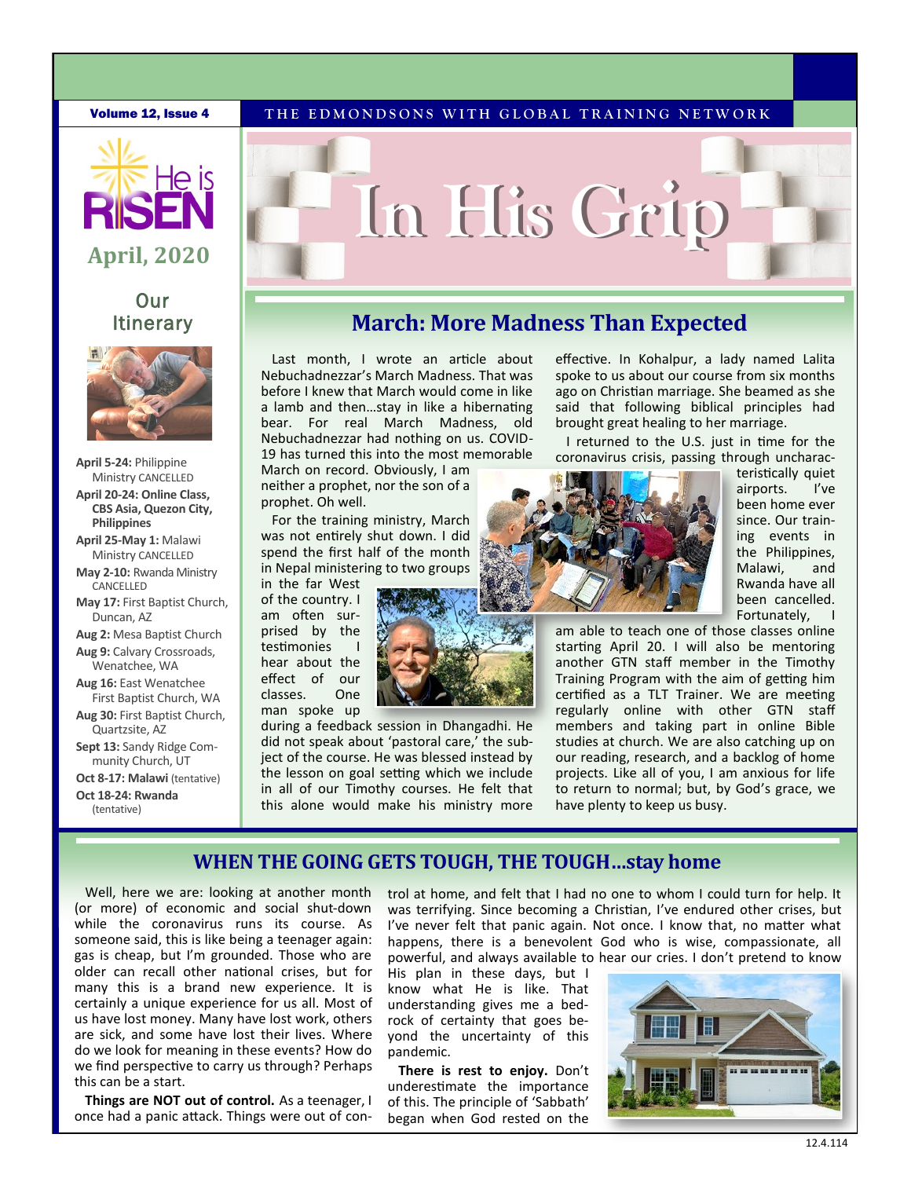**Volume 12, Issue 4** THE EDMONDSONS WITH GLOBAL TRAINING NETWORK



# **April, 2020**

# **Our Itinerary**



- **April 5-24:** Philippine Ministry CANCELLED **April 20-24: Online Class, CBS Asia, Quezon City, Philippines**
- **April 25-May 1:** Malawi Ministry CANCELLED
- **May 2-10:** Rwanda Ministry **CANCELLED**
- **May 17:** First Baptist Church, Duncan, AZ
- **Aug 2:** Mesa Baptist Church **Aug 9:** Calvary Crossroads, Wenatchee, WA
- **Aug 16:** East Wenatchee First Baptist Church, WA
- **Aug 30:** First Baptist Church, Quartzsite, AZ
- **Sept 13:** Sandy Ridge Community Church, UT
- **Oct 8-17: Malawi** (tentative) **Oct 18-24: Rwanda**

(tentative)

# **In His Grip**

# **March: More Madness Than Expected**

Last month, I wrote an article about Nebuchadnezzar's March Madness. That was before I knew that March would come in like a lamb and then…stay in like a hibernating bear. For real March Madness, old Nebuchadnezzar had nothing on us. COVID-19 has turned this into the most memorable

March on record. Obviously, I am neither a prophet, nor the son of a prophet. Oh well.

For the training ministry, March was not entirely shut down. I did spend the first half of the month in Nepal ministering to two groups

in the far West of the country. I am often surprised by the testimonies I hear about the effect of our classes. One man spoke up

during a feedback session in Dhangadhi. He did not speak about 'pastoral care,' the subject of the course. He was blessed instead by the lesson on goal setting which we include in all of our Timothy courses. He felt that this alone would make his ministry more

effective. In Kohalpur, a lady named Lalita spoke to us about our course from six months ago on Christian marriage. She beamed as she said that following biblical principles had brought great healing to her marriage.

I returned to the U.S. just in time for the coronavirus crisis, passing through uncharac-



teristically quiet airports. I've been home ever since. Our training events in the Philippines, Malawi, and Rwanda have all been cancelled. Fortunately,

am able to teach one of those classes online starting April 20. I will also be mentoring another GTN staff member in the Timothy Training Program with the aim of getting him certified as a TLT Trainer. We are meeting regularly online with other GTN staff members and taking part in online Bible studies at church. We are also catching up on our reading, research, and a backlog of home projects. Like all of you, I am anxious for life to return to normal; but, by God's grace, we have plenty to keep us busy.

### **WHEN THE GOING GETS TOUGH, THE TOUGH…stay home**

Well, here we are: looking at another month (or more) of economic and social shut-down while the coronavirus runs its course. As someone said, this is like being a teenager again: gas is cheap, but I'm grounded. Those who are older can recall other national crises, but for many this is a brand new experience. It is certainly a unique experience for us all. Most of us have lost money. Many have lost work, others are sick, and some have lost their lives. Where do we look for meaning in these events? How do we find perspective to carry us through? Perhaps this can be a start.

**Things are NOT out of control.** As a teenager, I once had a panic attack. Things were out of control at home, and felt that I had no one to whom I could turn for help. It was terrifying. Since becoming a Christian, I've endured other crises, but I've never felt that panic again. Not once. I know that, no matter what happens, there is a benevolent God who is wise, compassionate, all powerful, and always available to hear our cries. I don't pretend to know

His plan in these days, but I know what He is like. That understanding gives me a bedrock of certainty that goes beyond the uncertainty of this pandemic.

**There is rest to enjoy.** Don't underestimate the importance of this. The principle of 'Sabbath' began when God rested on the